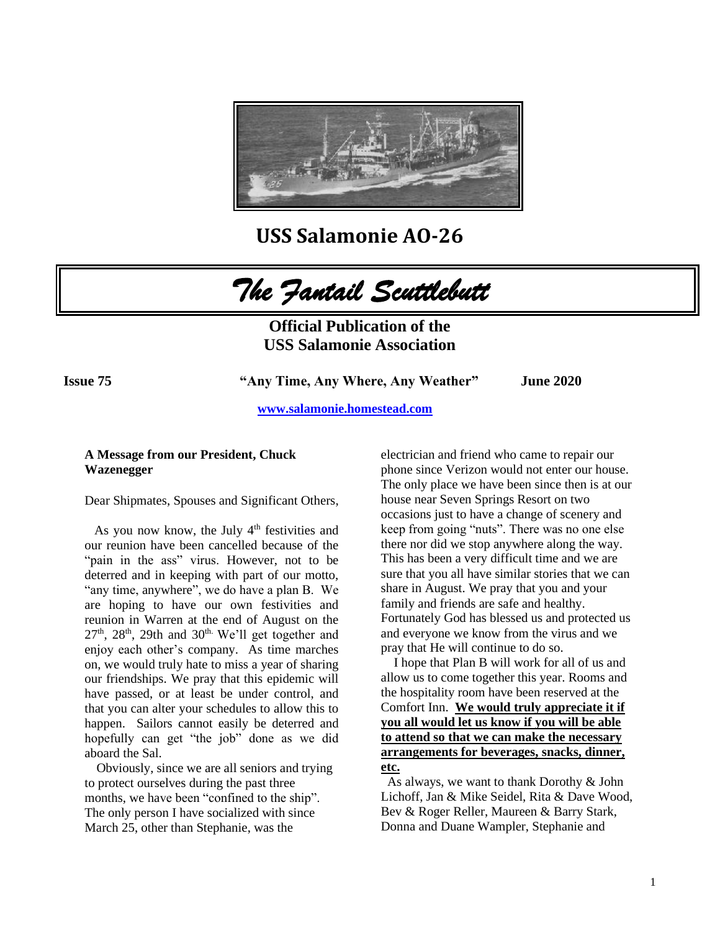

**USS Salamonie AO-26**

*The Fantail Scuttlebutt* 

**Official Publication of the USS Salamonie Association**

**Issue 75 "Any Time, Any Where, Any Weather" June 2020** 

 **[www.salamonie.homestead.com](http://www.salamonie.homestead.com/)**

## **A Message from our President, Chuck Wazenegger**

Dear Shipmates, Spouses and Significant Others,

As you now know, the July  $4<sup>th</sup>$  festivities and our reunion have been cancelled because of the "pain in the ass" virus. However, not to be deterred and in keeping with part of our motto, "any time, anywhere", we do have a plan B. We are hoping to have our own festivities and reunion in Warren at the end of August on the  $27<sup>th</sup>$ ,  $28<sup>th</sup>$ ,  $29th$  and  $30<sup>th</sup>$ . We'll get together and enjoy each other's company. As time marches on, we would truly hate to miss a year of sharing our friendships. We pray that this epidemic will have passed, or at least be under control, and that you can alter your schedules to allow this to happen. Sailors cannot easily be deterred and hopefully can get "the job" done as we did aboard the Sal.

 Obviously, since we are all seniors and trying to protect ourselves during the past three months, we have been "confined to the ship". The only person I have socialized with since March 25, other than Stephanie, was the

electrician and friend who came to repair our phone since Verizon would not enter our house. The only place we have been since then is at our house near Seven Springs Resort on two occasions just to have a change of scenery and keep from going "nuts". There was no one else there nor did we stop anywhere along the way. This has been a very difficult time and we are sure that you all have similar stories that we can share in August. We pray that you and your family and friends are safe and healthy. Fortunately God has blessed us and protected us and everyone we know from the virus and we pray that He will continue to do so.

 I hope that Plan B will work for all of us and allow us to come together this year. Rooms and the hospitality room have been reserved at the Comfort Inn. **We would truly appreciate it if you all would let us know if you will be able to attend so that we can make the necessary arrangements for beverages, snacks, dinner, etc.**

 As always, we want to thank Dorothy & John Lichoff, Jan & Mike Seidel, Rita & Dave Wood, Bev & Roger Reller, Maureen & Barry Stark, Donna and Duane Wampler, Stephanie and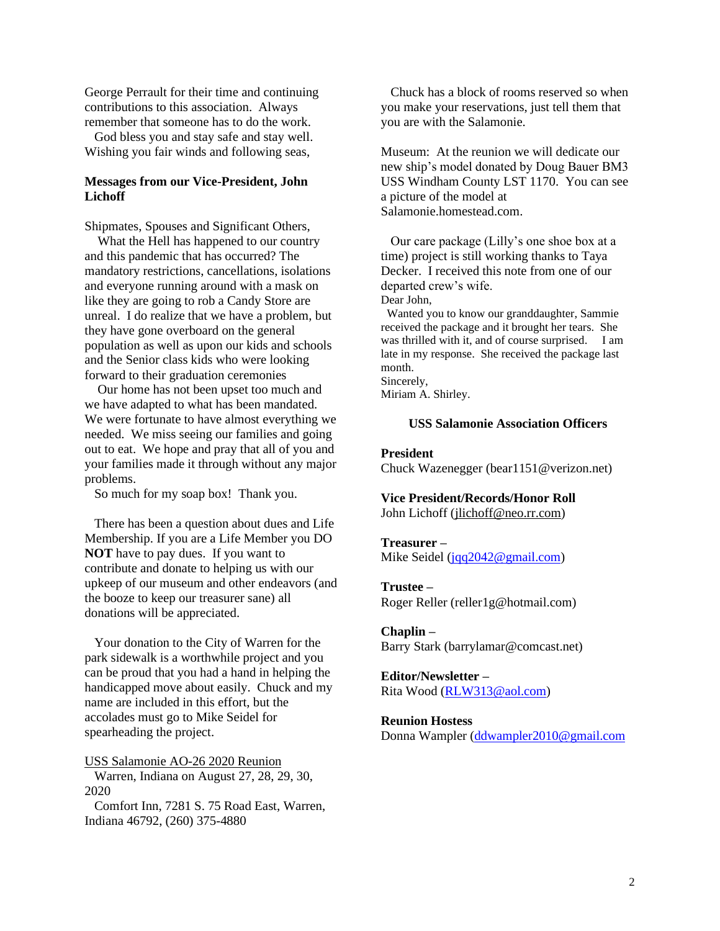George Perrault for their time and continuing contributions to this association. Always remember that someone has to do the work.

 God bless you and stay safe and stay well. Wishing you fair winds and following seas,

# **Messages from our Vice-President, John Lichoff**

Shipmates, Spouses and Significant Others,

 What the Hell has happened to our country and this pandemic that has occurred? The mandatory restrictions, cancellations, isolations and everyone running around with a mask on like they are going to rob a Candy Store are unreal. I do realize that we have a problem, but they have gone overboard on the general population as well as upon our kids and schools and the Senior class kids who were looking forward to their graduation ceremonies

 Our home has not been upset too much and we have adapted to what has been mandated. We were fortunate to have almost everything we needed. We miss seeing our families and going out to eat. We hope and pray that all of you and your families made it through without any major problems.

So much for my soap box! Thank you.

 There has been a question about dues and Life Membership. If you are a Life Member you DO **NOT** have to pay dues. If you want to contribute and donate to helping us with our upkeep of our museum and other endeavors (and the booze to keep our treasurer sane) all donations will be appreciated.

 Your donation to the City of Warren for the park sidewalk is a worthwhile project and you can be proud that you had a hand in helping the handicapped move about easily. Chuck and my name are included in this effort, but the accolades must go to Mike Seidel for spearheading the project.

USS Salamonie AO-26 2020 Reunion Warren, Indiana on August 27, 28, 29, 30, 2020

 Comfort Inn, 7281 S. 75 Road East, Warren, Indiana 46792, (260) 375-4880

 Chuck has a block of rooms reserved so when you make your reservations, just tell them that you are with the Salamonie.

Museum: At the reunion we will dedicate our new ship's model donated by Doug Bauer BM3 USS Windham County LST 1170. You can see a picture of the model at Salamonie.homestead.com.

 Our care package (Lilly's one shoe box at a time) project is still working thanks to Taya Decker. I received this note from one of our departed crew's wife. Dear John,

 Wanted you to know our granddaughter, Sammie received the package and it brought her tears. She was thrilled with it, and of course surprised. I am late in my response. She received the package last month. Sincerely,

Miriam A. Shirley.

## **USS Salamonie Association Officers**

## **President**

Chuck Wazenegger (bear1151@verizon.net)

## **Vice President/Records/Honor Roll**

John Lichoff [\(jlichoff@neo.rr.com\)](mailto:jlichoff@neo.rr.com)

#### **Treasurer –**

Mike Seidel [\(jqq2042@gmail.com\)](mailto:jqq2042@gmail.com)

## **Trustee –**

Roger Reller (reller1g@hotmail.com)

### **Chaplin –**

Barry Stark (barrylamar@comcast.net)

#### **Editor/Newsletter –**

Rita Wood [\(RLW313@aol.com\)](mailto:RLW313@aol.com)

#### **Reunion Hostess**

Donna Wampler [\(ddwampler2010@gmail.com](mailto:ddwampler2010@gmail.com)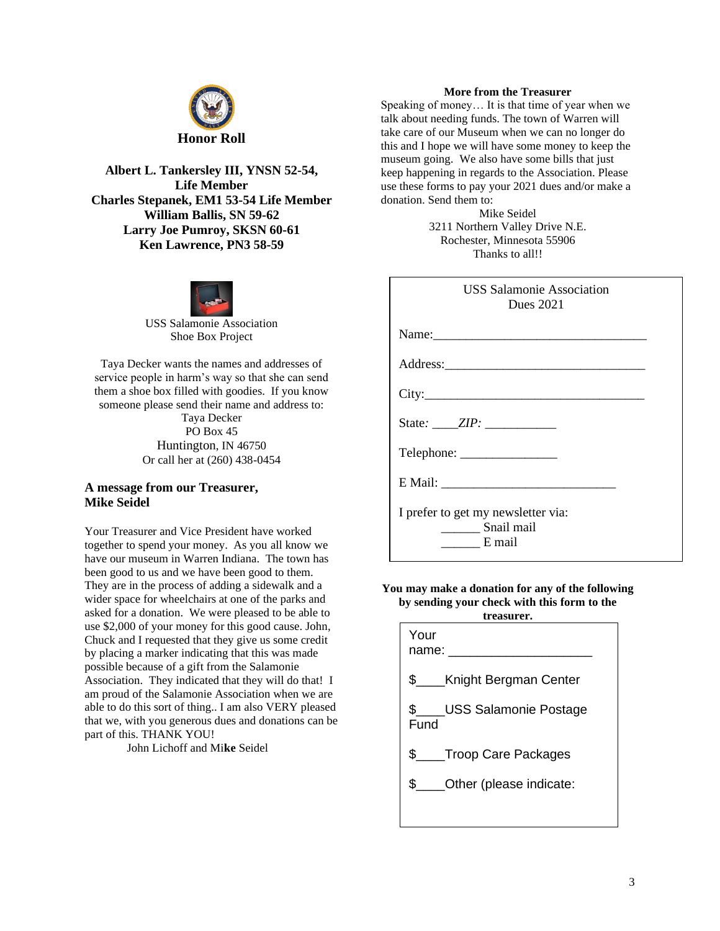

**Albert L. Tankersley III, YNSN 52-54, Life Member Charles Stepanek, EM1 53-54 Life Member William Ballis, SN 59-62 Larry Joe Pumroy, SKSN 60-61 Ken Lawrence, PN3 58-59** 



USS Salamonie Association Shoe Box Project

Taya Decker wants the names and addresses of service people in harm's way so that she can send them a shoe box filled with goodies. If you know someone please send their name and address to: Taya Decker PO Box 45 Huntington, IN 46750

Or call her at (260) 438-0454

## **A message from our Treasurer, Mike Seidel**

Your Treasurer and Vice President have worked together to spend your money. As you all know we have our museum in Warren Indiana. The town has been good to us and we have been good to them. They are in the process of adding a sidewalk and a wider space for wheelchairs at one of the parks and asked for a donation. We were pleased to be able to use \$2,000 of your money for this good cause. John, Chuck and I requested that they give us some credit by placing a marker indicating that this was made possible because of a gift from the Salamonie Association. They indicated that they will do that! I am proud of the Salamonie Association when we are able to do this sort of thing.. I am also VERY pleased that we, with you generous dues and donations can be part of this. THANK YOU!

John Lichoff and Mi**ke** Seidel

### **More from the Treasurer**

Speaking of money… It is that time of year when we talk about needing funds. The town of Warren will take care of our Museum when we can no longer do this and I hope we will have some money to keep the museum going. We also have some bills that just keep happening in regards to the Association. Please use these forms to pay your 2021 dues and/or make a donation. Send them to:

> Mike Seidel 3211 Northern Valley Drive N.E. Rochester, Minnesota 55906 Thanks to all!!

| <b>USS Salamonie Association</b><br><b>Dues</b> 2021                 |
|----------------------------------------------------------------------|
| Name:                                                                |
|                                                                      |
| City:                                                                |
|                                                                      |
|                                                                      |
|                                                                      |
| I prefer to get my newsletter via:<br>_________ Snail mail<br>E mail |

#### **You may make a donation for any of the following by sending your check with this form to the treasurer.**

| Your<br>name:                    |
|----------------------------------|
| \$____Knight Bergman Center      |
| \$ USS Salamonie Postage<br>Fund |
| \$ ____ Troop Care Packages      |
| \$ ____ Other (please indicate:  |